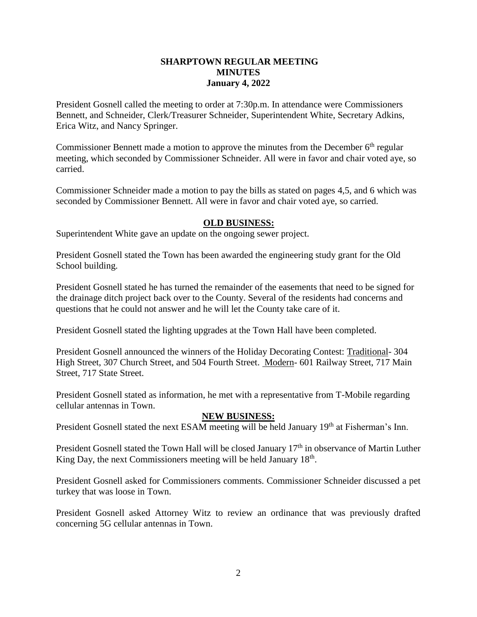## **SHARPTOWN REGULAR MEETING MINUTES January 4, 2022**

President Gosnell called the meeting to order at 7:30p.m. In attendance were Commissioners Bennett, and Schneider, Clerk/Treasurer Schneider, Superintendent White, Secretary Adkins, Erica Witz, and Nancy Springer.

Commissioner Bennett made a motion to approve the minutes from the December  $6<sup>th</sup>$  regular meeting, which seconded by Commissioner Schneider. All were in favor and chair voted aye, so carried.

Commissioner Schneider made a motion to pay the bills as stated on pages 4,5, and 6 which was seconded by Commissioner Bennett. All were in favor and chair voted aye, so carried.

## **OLD BUSINESS:**

Superintendent White gave an update on the ongoing sewer project.

President Gosnell stated the Town has been awarded the engineering study grant for the Old School building.

President Gosnell stated he has turned the remainder of the easements that need to be signed for the drainage ditch project back over to the County. Several of the residents had concerns and questions that he could not answer and he will let the County take care of it.

President Gosnell stated the lighting upgrades at the Town Hall have been completed.

President Gosnell announced the winners of the Holiday Decorating Contest: Traditional- 304 High Street, 307 Church Street, and 504 Fourth Street. Modern- 601 Railway Street, 717 Main Street, 717 State Street.

President Gosnell stated as information, he met with a representative from T-Mobile regarding cellular antennas in Town.

## **NEW BUSINESS:**

President Gosnell stated the next ESAM meeting will be held January 19<sup>th</sup> at Fisherman's Inn.

President Gosnell stated the Town Hall will be closed January 17<sup>th</sup> in observance of Martin Luther King Day, the next Commissioners meeting will be held January  $18<sup>th</sup>$ .

President Gosnell asked for Commissioners comments. Commissioner Schneider discussed a pet turkey that was loose in Town.

President Gosnell asked Attorney Witz to review an ordinance that was previously drafted concerning 5G cellular antennas in Town.